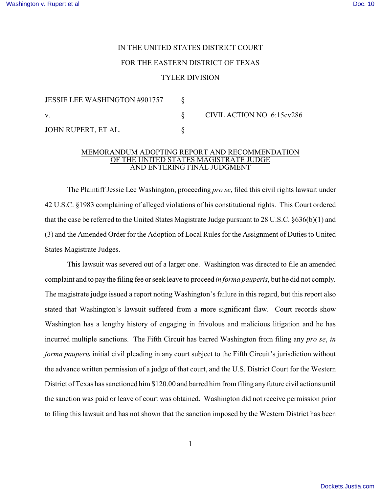## IN THE UNITED STATES DISTRICT COURT FOR THE EASTERN DISTRICT OF TEXAS TYLER DIVISION

| <b>JESSIE LEE WASHINGTON #901757</b> |                            |
|--------------------------------------|----------------------------|
| V.                                   | CIVIL ACTION NO. 6:15cv286 |
| JOHN RUPERT, ET AL.                  |                            |

## MEMORANDUM ADOPTING REPORT AND RECOMMENDATION OF THE UNITED STATES MAGISTRATE JUDGE AND ENTERING FINAL JUDGMENT

The Plaintiff Jessie Lee Washington, proceeding *pro se*, filed this civil rights lawsuit under 42 U.S.C. §1983 complaining of alleged violations of his constitutional rights. This Court ordered that the case be referred to the United States Magistrate Judge pursuant to 28 U.S.C. §636(b)(1) and (3) and the Amended Order for the Adoption of Local Rules for the Assignment of Duties to United States Magistrate Judges.

This lawsuit was severed out of a larger one. Washington was directed to file an amended complaint and to pay the filing fee or seek leave to proceed *in forma pauperis*, but he did not comply. The magistrate judge issued a report noting Washington's failure in this regard, but this report also stated that Washington's lawsuit suffered from a more significant flaw. Court records show Washington has a lengthy history of engaging in frivolous and malicious litigation and he has incurred multiple sanctions. The Fifth Circuit has barred Washington from filing any *pro se*, *in forma pauperis* initial civil pleading in any court subject to the Fifth Circuit's jurisdiction without the advance written permission of a judge of that court, and the U.S. District Court for the Western District of Texas has sanctioned him \$120.00 and barred him from filing any future civil actions until the sanction was paid or leave of court was obtained. Washington did not receive permission prior to filing this lawsuit and has not shown that the sanction imposed by the Western District has been